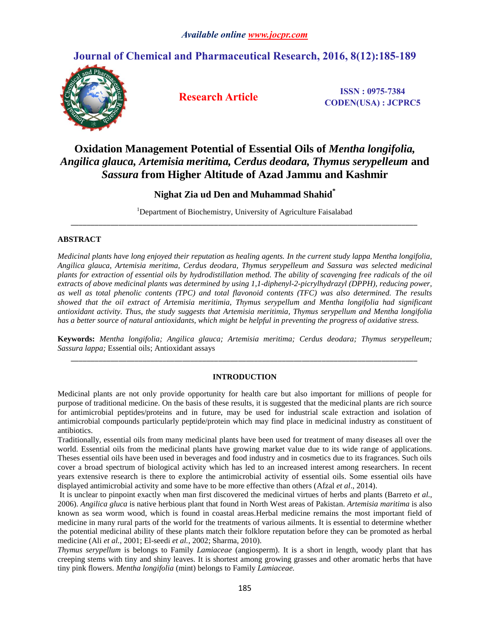# **Journal of Chemical and Pharmaceutical Research, 2016, 8(12):185-189**



**Research Article ISSN**: 0975-7384 **CODEN(USA) : JCPRC5**

# **Oxidation Management Potential of Essential Oils of** *Mentha longifolia, Angilica glauca, Artemisia meritima, Cerdus deodara, Thymus serypelleum* **and**  *Sassura* **from Higher Altitude of Azad Jammu and Kashmir**

# **Nighat Zia ud Den and Muhammad Shahid\***

<sup>1</sup>Department of Biochemistry, University of Agriculture Faisalabad *\_\_\_\_\_\_\_\_\_\_\_\_\_\_\_\_\_\_\_\_\_\_\_\_\_\_\_\_\_\_\_\_\_\_\_\_\_\_\_\_\_\_\_\_\_\_\_\_\_\_\_\_\_\_\_\_\_\_\_\_\_\_\_\_\_\_\_\_\_\_\_\_\_\_\_\_\_\_\_\_\_\_\_\_\_\_\_*

# **ABSTRACT**

*Medicinal plants have long enjoyed their reputation as healing agents. In the current study lappa Mentha longifolia, Angilica glauca, Artemisia meritima, Cerdus deodara, Thymus serypelleum and Sassura was selected medicinal plants for extraction of essential oils by hydrodistillation method. The ability of scavenging free radicals of the oil extracts of above medicinal plants was determined by using 1,1-diphenyl-2-picrylhydrazyl (DPPH), reducing power, as well as total phenolic contents (TPC) and total flavonoid contents (TFC) was also determined. The results showed that the oil extract of Artemisia meritimia, Thymus serypellum and Mentha longifolia had significant antioxidant activity. Thus, the study suggests that Artemisia meritimia, Thymus serypellum and Mentha longifolia* has a better source of natural antioxidants, which might be helpful in preventing the progress of oxidative stress.

**Keywords:** *Mentha longifolia; Angilica glauca; Artemisia meritima; Cerdus deodara; Thymus serypelleum; Sassura lappa;* Essential oils; Antioxidant assays *\_\_\_\_\_\_\_\_\_\_\_\_\_\_\_\_\_\_\_\_\_\_\_\_\_\_\_\_\_\_\_\_\_\_\_\_\_\_\_\_\_\_\_\_\_\_\_\_\_\_\_\_\_\_\_\_\_\_\_\_\_\_\_\_\_\_\_\_\_\_\_\_\_\_\_\_\_\_\_\_\_\_\_\_\_\_\_*

# **INTRODUCTION**

Medicinal plants are not only provide opportunity for health care but also important for millions of people for purpose of traditional medicine. On the basis of these results, it is suggested that the medicinal plants are rich source for antimicrobial peptides/proteins and in future, may be used for industrial scale extraction and isolation of antimicrobial compounds particularly peptide/protein which may find place in medicinal industry as constituent of antibiotics.

Traditionally, essential oils from many medicinal plants have been used for treatment of many diseases all over the world. Essential oils from the medicinal plants have growing market value due to its wide range of applications. Theses essential oils have been used in beverages and food industry and in cosmetics due to its fragrances. Such oils cover a broad spectrum of biological activity which has led to an increased interest among researchers. In recent years extensive research is there to explore the antimicrobial activity of essential oils. Some essential oils have displayed antimicrobial activity and some have to be more effective than others (Afzal *et al*., 2014).

It is unclear to pinpoint exactly when man first discovered the medicinal virtues of herbs and plants (Barreto *et al.*, 2006). *Angilica gluca* is native herbious plant that found in North West areas of Pakistan. *Artemisia maritima* is also known as sea worm wood, which is found in coastal areas.Herbal medicine remains the most important field of medicine in many rural parts of the world for the treatments of various ailments. It is essential to determine whether the potential medicinal ability of these plants match their folklore reputation before they can be promoted as herbal medicine (Ali *et al.*, 2001; El-seedi *et al.*, 2002; Sharma, 2010).

*Thymus serypellum* is belongs to Family *Lamiaceae* (angiosperm). It is a short in length, woody plant that has creeping stems with tiny and shiny leaves. It is shortest among growing grasses and other aromatic herbs that have tiny pink flowers. *Mentha longifolia* (mint) belongs to Family *Lamiaceae.*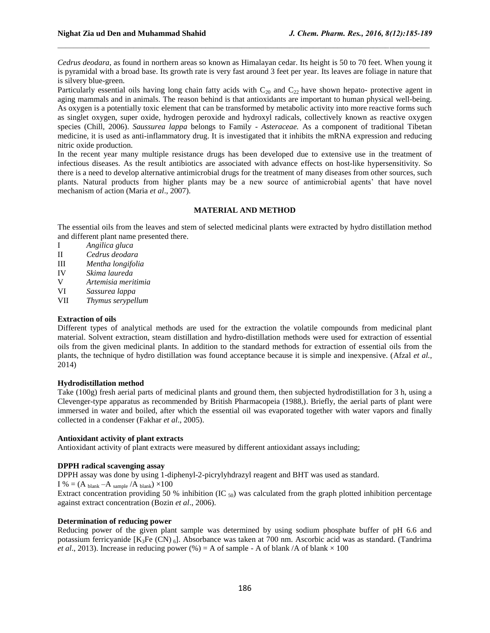*Cedrus deodara,* as found in northern areas so known as Himalayan cedar. Its height is 50 to 70 feet. When young it is pyramidal with a broad base. Its growth rate is very fast around 3 feet per year. Its leaves are foliage in nature that is silvery blue-green.

Particularly essential oils having long chain fatty acids with  $C_{20}$  and  $C_{22}$  have shown hepato- protective agent in aging mammals and in animals. The reason behind is that antioxidants are important to human physical well-being. As oxygen is a potentially toxic element that can be transformed by metabolic activity into more reactive forms such as singlet oxygen, super oxide, hydrogen peroxide and hydroxyl radicals, collectively known as reactive oxygen species (Chill, 2006). *Saussurea lappa* belongs to Family - *Asteraceae.* As a component of traditional Tibetan medicine, it is used as anti-inflammatory drug. It is investigated that it inhibits the mRNA expression and reducing nitric oxide production.

In the recent year many multiple resistance drugs has been developed due to extensive use in the treatment of infectious diseases. As the result antibiotics are associated with advance effects on host-like hypersensitivity. So there is a need to develop alternative antimicrobial drugs for the treatment of many diseases from other sources, such plants. Natural products from higher plants may be a new source of antimicrobial agents' that have novel mechanism of action (Maria *et al*., 2007).

# **MATERIAL AND METHOD**

The essential oils from the leaves and stem of selected medicinal plants were extracted by hydro distillation method and different plant name presented there.

- I *Angilica gluca*
- II *Cedrus deodara*
- III *Mentha longifolia*
- IV *Skima laureda*
- V *Artemisia meritimia*
- VI *Sassurea lappa*
- VII *Thymus serypellum*

# **Extraction of oils**

Different types of analytical methods are used for the extraction the volatile compounds from medicinal plant material. Solvent extraction, steam distillation and hydro-distillation methods were used for extraction of essential oils from the given medicinal plants. In addition to the standard methods for extraction of essential oils from the plants, the technique of hydro distillation was found acceptance because it is simple and inexpensive. (Afzal *et al.,* 2014)

# **Hydrodistillation method**

Take (100g) fresh aerial parts of medicinal plants and ground them, then subjected hydrodistillation for 3 h, using a Clevenger-type apparatus as recommended by British Pharmacopeia (1988,). Briefly, the aerial parts of plant were immersed in water and boiled, after which the essential oil was evaporated together with water vapors and finally collected in a condenser (Fakhar *et al*., 2005).

# **Antioxidant activity of plant extracts**

Antioxidant activity of plant extracts were measured by different antioxidant assays including;

# **DPPH radical scavenging assay**

DPPH assay was done by using 1-diphenyl-2-picrylyhdrazyl reagent and BHT was used as standard.

I % =  $(A<sub>blank</sub> - A<sub>sample</sub> / A<sub>blank</sub>) \times 100$ 

Extract concentration providing 50 % inhibition (IC  $_{50}$ ) was calculated from the graph plotted inhibition percentage against extract concentration (Bozin *et al*., 2006).

# **Determination of reducing power**

Reducing power of the given plant sample was determined by using sodium phosphate buffer of pH 6.6 and potassium ferricyanide [K<sub>3</sub>Fe (CN)<sub>6</sub>]. Absorbance was taken at 700 nm. Ascorbic acid was as standard. (Tandrima *et al.*, 2013). Increase in reducing power (%) = A of sample - A of blank /A of blank  $\times$  100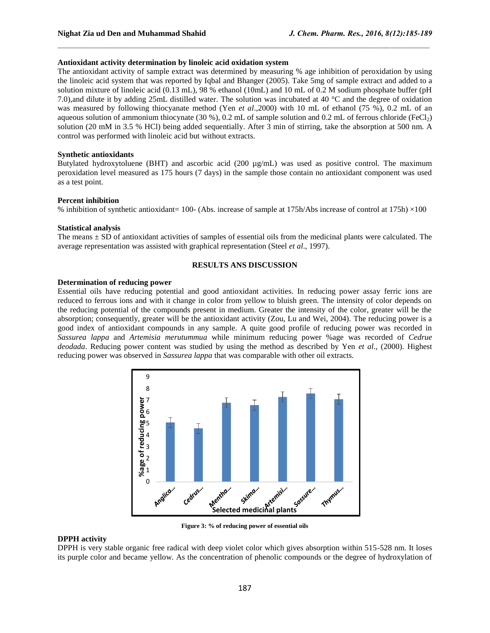# **Antioxidant activity determination by linoleic acid oxidation system**

The antioxidant activity of sample extract was determined by measuring % age inhibition of peroxidation by using the linoleic acid system that was reported by Iqbal and Bhanger (2005). Take 5mg of sample extract and added to a solution mixture of linoleic acid (0.13 mL), 98 % ethanol (10mL) and 10 mL of 0.2 M sodium phosphate buffer (pH 7.0),and dilute it by adding 25mL distilled water. The solution was incubated at 40 °C and the degree of oxidation was measured by following thiocyanate method (Yen *et al*.,2000) with 10 mL of ethanol (75 %), 0.2 mL of an aqueous solution of ammonium thiocynate (30 %), 0.2 mL of sample solution and 0.2 mL of ferrous chloride (FeCl<sub>2</sub>) solution (20 mM in 3.5 % HCl) being added sequentially. After 3 min of stirring, take the absorption at 500 nm. A control was performed with linoleic acid but without extracts.

#### **Synthetic antioxidants**

Butylated hydroxytoluene (BHT) and ascorbic acid (200 µg/mL) was used as positive control. The maximum peroxidation level measured as 175 hours (7 days) in the sample those contain no antioxidant component was used as a test point.

#### **Percent inhibition**

% inhibition of synthetic antioxidant= 100- (Abs. increase of sample at 175h/Abs increase of control at 175h) ×100

# **Statistical analysis**

The means ± SD of antioxidant activities of samples of essential oils from the medicinal plants were calculated. The average representation was assisted with graphical representation (Steel *et al*., 1997).

# **RESULTS ANS DISCUSSION**

#### **Determination of reducing power**

Essential oils have reducing potential and good antioxidant activities. In reducing power assay ferric ions are reduced to ferrous ions and with it change in color from yellow to bluish green. The intensity of color depends on the reducing potential of the compounds present in medium. Greater the intensity of the color, greater will be the absorption; consequently, greater will be the antioxidant activity (Zou, Lu and Wei, 2004). The reducing power is a good index of antioxidant compounds in any sample. A quite good profile of reducing power was recorded in *Sassurea lappa* and *Artemisia merutummua* while minimum reducing power %age was recorded of *Cedrue deodada*. Reducing power content was studied by using the method as described by Yen *et al*., (2000). Highest reducing power was observed in *Sassurea lappa* that was comparable with other oil extracts.



**Figure 3: % of reducing power of essential oils**

#### **DPPH activity**

DPPH is very stable organic free radical with deep violet color which gives absorption within 515-528 nm. It loses its purple color and became yellow. As the concentration of phenolic compounds or the degree of hydroxylation of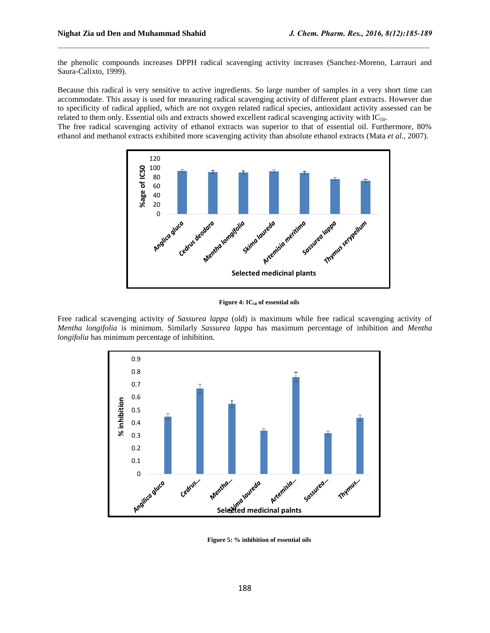the phenolic compounds increases DPPH radical scavenging activity increases (Sanchez-Moreno, Larrauri and Saura-Calixto, 1999).

Because this radical is very sensitive to active ingredients. So large number of samples in a very short time can accommodate. This assay is used for measuring radical scavenging activity of different plant extracts. However due to specificity of radical applied, which are not oxygen related radical species, antioxidant activity assessed can be related to them only. Essential oils and extracts showed excellent radical scavenging activity with IC50.

The free radical scavenging activity of ethanol extracts was superior to that of essential oil. Furthermore, 80% ethanol and methanol extracts exhibited more scavenging activity than absolute ethanol extracts (Mata *et al.,* 2007).



**Figure 4: IC<sup>50</sup> of essential oils**

Free radical scavenging activity *of Sassurea lappa* (old) is maximum while free radical scavenging activity of *Mentha longifolia* is minimum. Similarly *Sassurea lappa* has maximum percentage of inhibition and *Mentha longifolia* has minimum percentage of inhibition.



**Figure 5: % inhibition of essential oils**